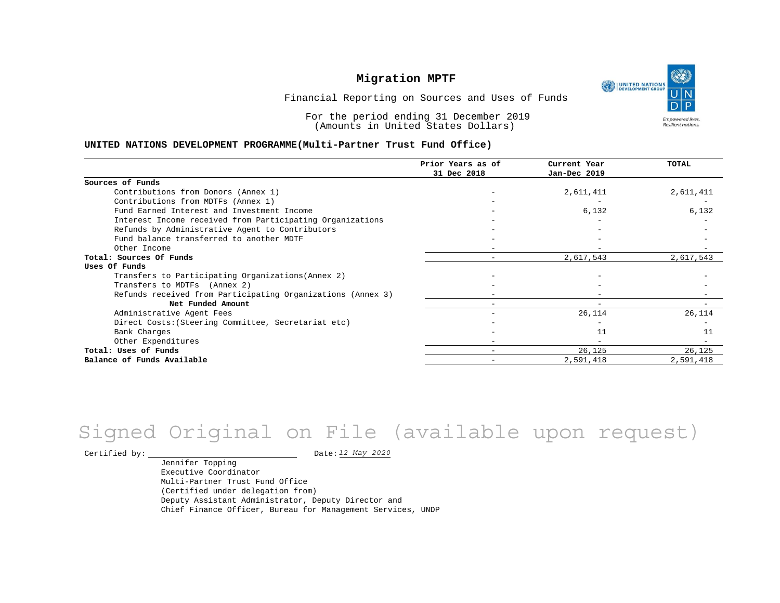UNITED NATIONS **Empowered lives** Resilient nations.

Financial Reporting on Sources and Uses of Funds

For the period ending 31 December 2019 (Amounts in United States Dollars)

#### **UNITED NATIONS DEVELOPMENT PROGRAMME(Multi-Partner Trust Fund Office)**

|                                                             | Prior Years as of | Current Year             | TOTAL     |
|-------------------------------------------------------------|-------------------|--------------------------|-----------|
|                                                             | 31 Dec 2018       | Jan-Dec 2019             |           |
| Sources of Funds                                            |                   |                          |           |
| Contributions from Donors (Annex 1)                         |                   | 2,611,411                | 2,611,411 |
| Contributions from MDTFs (Annex 1)                          |                   |                          |           |
| Fund Earned Interest and Investment Income                  |                   | 6,132                    | 6,132     |
| Interest Income received from Participating Organizations   |                   |                          |           |
| Refunds by Administrative Agent to Contributors             |                   |                          |           |
| Fund balance transferred to another MDTF                    |                   |                          |           |
| Other Income                                                |                   |                          |           |
| Total: Sources Of Funds                                     |                   | 2,617,543                | 2,617,543 |
| Uses Of Funds                                               |                   |                          |           |
| Transfers to Participating Organizations (Annex 2)          |                   |                          |           |
| Transfers to MDTFs (Annex 2)                                |                   |                          |           |
| Refunds received from Participating Organizations (Annex 3) |                   |                          |           |
| Net Funded Amount                                           |                   | $\overline{\phantom{m}}$ |           |
| Administrative Agent Fees                                   |                   | 26,114                   | 26,114    |
| Direct Costs: (Steering Committee, Secretariat etc)         |                   |                          |           |
| Bank Charges                                                |                   | 11                       | 11        |
| Other Expenditures                                          |                   |                          |           |
| Total: Uses of Funds                                        |                   | 26,125                   | 26,125    |
| Balance of Funds Available                                  |                   | 2,591,418                | 2,591,418 |

# Signed Original on File (available upon request)

Certified by: Date:

Jennifer Topping Executive Coordinator Multi-Partner Trust Fund Office (Certified under delegation from) Deputy Assistant Administrator, Deputy Director and Chief Finance Officer, Bureau for Management Services, UNDP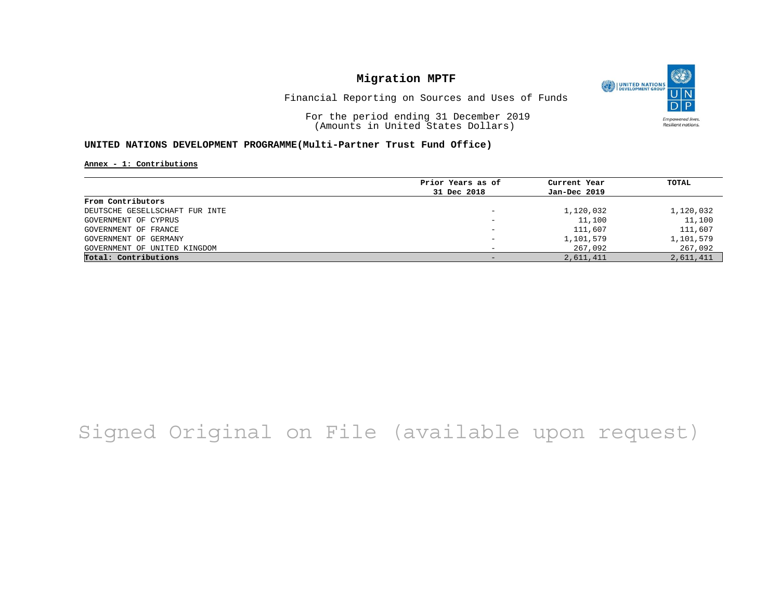O UNITED NATIONS **Empowered lives** Resilient nations.

Financial Reporting on Sources and Uses of Funds

For the period ending 31 December 2019 (Amounts in United States Dollars)

#### **UNITED NATIONS DEVELOPMENT PROGRAMME(Multi-Partner Trust Fund Office)**

**Annex - 1: Contributions**

|                                | Prior Years as of | Current Year | TOTAL     |
|--------------------------------|-------------------|--------------|-----------|
|                                | 31 Dec 2018       | Jan-Dec 2019 |           |
| From Contributors              |                   |              |           |
| DEUTSCHE GESELLSCHAFT FUR INTE |                   | 1,120,032    | 1,120,032 |
| GOVERNMENT OF CYPRUS           | -                 | 11,100       | 11,100    |
| GOVERNMENT OF FRANCE           |                   | 111,607      | 111,607   |
| GOVERNMENT OF GERMANY          |                   | 1,101,579    | 1,101,579 |
| GOVERNMENT OF UNITED KINGDOM   |                   | 267,092      | 267,092   |
| Total: Contributions           |                   | 2,611,411    | 2,611,411 |

# Signed Original on File (available upon request)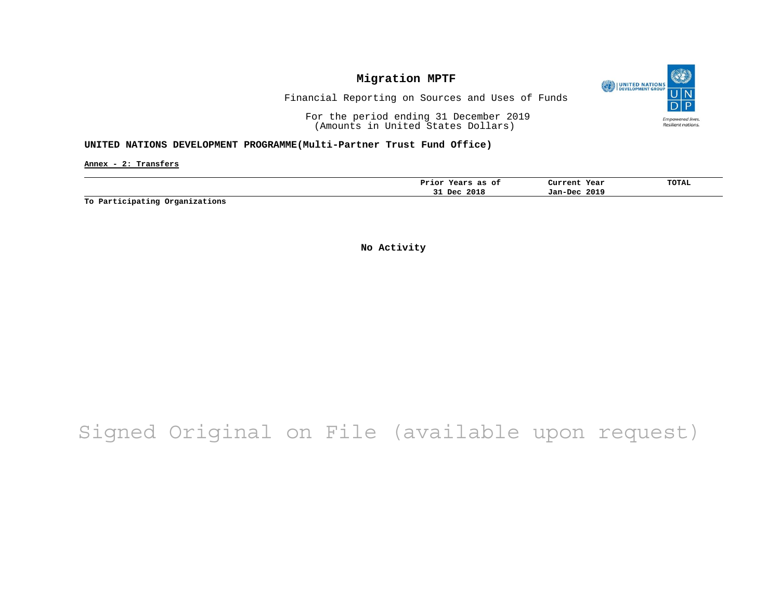

Financial Reporting on Sources and Uses of Funds

For the period ending 31 December 2019 (Amounts in United States Dollars)

#### **UNITED NATIONS DEVELOPMENT PROGRAMME(Multi-Partner Trust Fund Office)**

**Annex - 2: Transfers**

|  | оt<br>as<br>Prior<br>years | Year<br>Current | <b>TOTAL</b> |
|--|----------------------------|-----------------|--------------|
|  | 2018<br>Dec<br>۔۔          | 2019<br>Jan-Dec |              |

**To Participating Organizations**

**No Activity**

## Signed Original on File (available upon request)